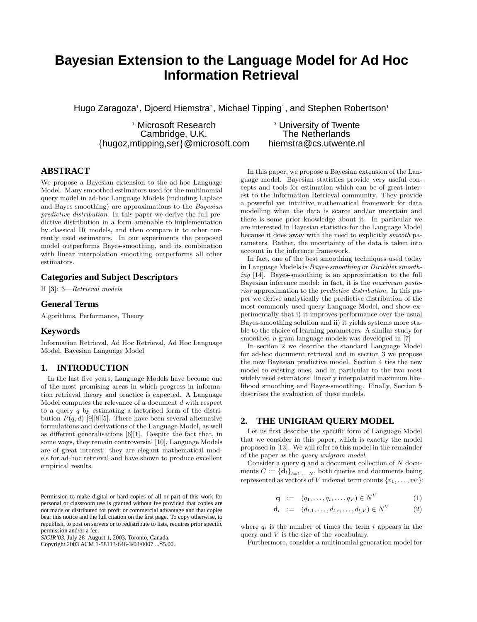# **Bayesian Extension to the Language Model for Ad Hoc Information Retrieval**

Hugo Zaragoza<sup>1</sup>, Djoerd Hiemstra<sup>2</sup>, Michael Tipping<sup>1</sup>, and Stephen Robertson<sup>1</sup>

<sup>1</sup> Microsoft Research  $\frac{2}{3}$  University of Twente<br>Cambridge. U.K. The Netherlands Cambridge, U.K. The Netherlands<br>ipping.ser}@microsoft.com hiemstra@cs.utwente.nl  ${hugoz,mtipping,ser}$ @microsoft.com

# **ABSTRACT**

We propose a Bayesian extension to the ad-hoc Language Model. Many smoothed estimators used for the multinomial query model in ad-hoc Language Models (including Laplace and Bayes-smoothing) are approximations to the Bayesian predictive distribution. In this paper we derive the full predictive distribution in a form amenable to implementation by classical IR models, and then compare it to other currently used estimators. In our experiments the proposed model outperforms Bayes-smoothing, and its combination with linear interpolation smoothing outperforms all other estimators.

#### **Categories and Subject Descriptors**

H [3]: 3—Retrieval models

#### **General Terms**

Algorithms, Performance, Theory

#### **Keywords**

Information Retrieval, Ad Hoc Retrieval, Ad Hoc Language Model, Bayesian Language Model

#### **1. INTRODUCTION**

In the last five years, Language Models have become one of the most promising areas in which progress in information retrieval theory and practice is expected. A Language Model computes the relevance of a document d with respect to a query  $q$  by estimating a factorised form of the distribution  $P(q, d)$  [9][8][5]. There have been several alternative formulations and derivations of the Language Model, as well as different generalisations [6][1]. Despite the fact that, in some ways, they remain controversial [10], Language Models are of great interest: they are elegant mathematical models for ad-hoc retrieval and have shown to produce excellent empirical results.

*SIGIR'03,* July 28–August 1, 2003, Toronto, Canada.

Copyright 2003 ACM 1-58113-646-3/03/0007 ...\$5.00.

In this paper, we propose a Bayesian extension of the Language model. Bayesian statistics provide very useful concepts and tools for estimation which can be of great interest to the Information Retrieval community. They provide a powerful yet intuitive mathematical framework for data modelling when the data is scarce and/or uncertain and there is some prior knowledge about it. In particular we are interested in Bayesian statistics for the Language Model because it does away with the need to explicitly smooth parameters. Rather, the uncertainty of the data is taken into account in the inference framework.

In fact, one of the best smoothing techniques used today in Language Models is Bayes-smoothing or Dirichlet smoothing [14]. Bayes-smoothing is an approximation to the full Bayesian inference model: in fact, it is the maximum posterior approximation to the predictive distribution. In this paper we derive analytically the predictive distribution of the most commonly used query Language Model, and show experimentally that i) it improves performance over the usual Bayes-smoothing solution and ii) it yields systems more stable to the choice of learning parameters. A similar study for smoothed  $n$ -gram language models was developed in  $[7]$ 

In section 2 we describe the standard Language Model for ad-hoc document retrieval and in section 3 we propose the new Bayesian predictive model. Section 4 ties the new model to existing ones, and in particular to the two most widely used estimators: linearly interpolated maximum likelihood smoothing and Bayes-smoothing. Finally, Section 5 describes the evaluation of these models.

#### **2. THE UNIGRAM QUERY MODEL**

Let us first describe the specific form of Language Model that we consider in this paper, which is exactly the model proposed in [13]. We will refer to this model in the remainder of the paper as the query unigram model.

Consider a query  $q$  and a document collection of  $N$  documents  $C := {\mathbf{d}_l}_{l=1,...,N}$ , both queries and documents being represented as vectors of V indexed term counts  $\{v_1, \ldots, v_V\}$ :

$$
\mathbf{q} := (q_1, \dots, q_i, \dots, q_V) \in N^V \tag{1}
$$

$$
\mathbf{d}_l := (d_{l,1}, \dots, d_{l,i}, \dots, d_{l,V}) \in N^{V} \tag{2}
$$

where  $q_i$  is the number of times the term i appears in the query and V is the size of the vocabulary.

Furthermore, consider a multinomial generation model for

Permission to make digital or hard copies of all or part of this work for personal or classroom use is granted without fee provided that copies are not made or distributed for profit or commercial advantage and that copies bear this notice and the full citation on the first page. To copy otherwise, to republish, to post on servers or to redistribute to lists, requires prior specific permission and/or a fee.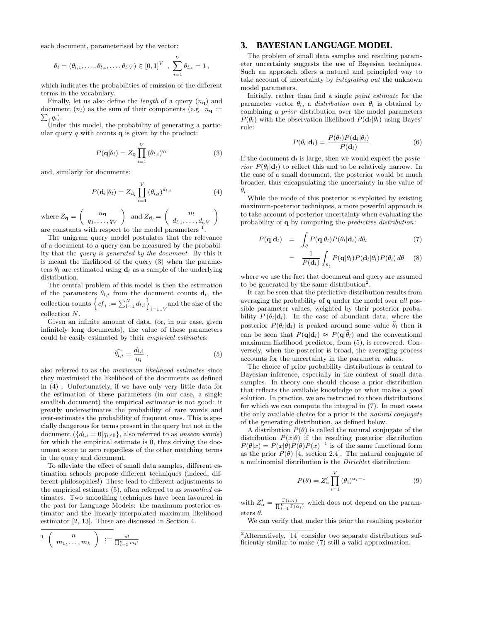each document, parameterised by the vector:

$$
\theta_l = (\theta_{l,1}, \ldots, \theta_{l,i}, \ldots, \theta_{l,V}) \in [0,1]^V
$$
,  $\sum_{i=1}^V \theta_{l,i} = 1$ ,

which indicates the probabilities of emission of the different terms in the vocabulary.

Finally, let us also define the *length* of a query  $(n_{q})$  and document  $(n_l)$  as the sum of their components (e.g.  $n_{\mathbf{q}} := \sum_i q_i$ ).  $\, q_i)$ .

Under this model, the probability of generating a particular query  $q$  with counts  $q$  is given by the product:

$$
P(\mathbf{q}|\theta_t) = Z_{\mathbf{q}} \prod_{i=1}^{V} (\theta_{l,i})^{q_i}
$$
 (3)

and, similarly for documents:

$$
P(\mathbf{d}_l|\theta_l) = Z_{\mathbf{d}_l} \prod_{i=1}^V (\theta_{l,i})^{d_{l,i}} \tag{4}
$$

where  $Z_{\mathbf{q}} = \begin{pmatrix} n_{\mathbf{q}} \\ n_{\mathbf{q}} \end{pmatrix}$  $q_1, \ldots, q_V$  $\Big)$  and  $Z_{\mathbf{d}_l} = \left( \begin{array}{c} n_l \ d_{l,1}, \ldots, d_{l,V} \end{array} \right)$ are constants with respect to the model parameters  $<sup>1</sup>$ .</sup>

The unigram query model postulates that the relevance of a document to a query can be measured by the probability that the query is generated by the document. By this it is meant the likelihood of the query (3) when the parameters  $\theta_l$  are estimated using  $\mathbf{d}_l$  as a sample of the underlying distribution.

The central problem of this model is then the estimation of the parameters  $\theta_{l,i}$  from the document counts  $\mathbf{d}_l$ , the collection counts  $\left\{cf_i := \sum_{l=1}^N d_{l,i}\right\}_{i=1..V}$  and the size of the collection N.

Given an infinite amount of data, (or, in our case, given infinitely long documents), the value of these parameters could be easily estimated by their empirical estimates:

$$
\widehat{\theta_{l,i}} = \frac{d_{l,i}}{n_l} \;, \tag{5}
$$

also referred to as the maximum likelihood estimates since they maximised the likelihood of the documents as defined in (4) . Unfortunately, if we have only very little data for the estimation of these parameters (in our case, a single smallish document) the empirical estimator is not good: it greatly underestimates the probability of rare words and over-estimates the probability of frequent ones. This is specially dangerous for terms present in the query but not in the document  $({d_{l,i} = 0|q_{i\neq0}})$ , also referred to as unseen words) for which the empirical estimate is 0, thus driving the document score to zero regardless of the other matching terms in the query and document.

To alleviate the effect of small data samples, different estimation schools propose different techniques (indeed, different philosophies!) These lead to different adjustments to the empirical estimate (5), often referred to as smoothed estimates. Two smoothing techniques have been favoured in the past for Language Models: the maximum-posterior estimator and the linearly-interpolated maximum likelihood estimator [2, 13]. These are discussed in Section 4.

$$
\begin{array}{c} \n\mathbf{1} \left( n \right. \\
\left( n_1, \ldots, m_k \right) \n\end{array} := \frac{n!}{\prod_{i=1}^k m_i!}
$$

#### **3. BAYESIAN LANGUAGE MODEL**

The problem of small data samples and resulting parameter uncertainty suggests the use of Bayesian techniques. Such an approach offers a natural and principled way to take account of uncertainty by integrating out the unknown model parameters.

Initially, rather than find a single point estimate for the parameter vector  $\theta_l$ , a *distribution* over  $\theta_l$  is obtained by combining a prior distribution over the model parameters  $P(\theta_l)$  with the observation likelihood  $P(\mathbf{d}_l|\theta_l)$  using Bayes' rule:

$$
P(\theta_l|\mathbf{d}_l) = \frac{P(\theta_l)P(\mathbf{d}_l|\theta_l)}{P(\mathbf{d}_l)}
$$
(6)

If the document  $\mathbf{d}_l$  is large, then we would expect the *poste*rior  $P(\theta_l|\mathbf{d}_l)$  to reflect this and to be relatively narrow. In the case of a small document, the posterior would be much broader, thus encapsulating the uncertainty in the value of  $\theta_l$ .

While the mode of this posterior is exploited by existing maximum-posterior techniques, a more powerful approach is to take account of posterior uncertainty when evaluating the probability of q by computing the predictive distribution:

$$
P(\mathbf{q}|\mathbf{d}_l) = \int_{\theta} P(\mathbf{q}|\theta_l) P(\theta_l|\mathbf{d}_l) d\theta_l \tag{7}
$$

$$
= \frac{1}{P(\mathbf{d}_l)} \int_{\theta_l} P(\mathbf{q}|\theta_l) P(\mathbf{d}_l|\theta_l) P(\theta_l) d\theta \quad (8)
$$

where we use the fact that document and query are assumed to be generated by the same distribution<sup>2</sup>.

It can be seen that the predictive distribution results from averaging the probability of q under the model over all possible parameter values, weighted by their posterior probability  $P(\theta_l|\mathbf{d}_l)$ . In the case of abundant data, where the posterior  $P(\theta_l|\mathbf{d}_l)$  is peaked around some value  $\hat{\theta}_l$  then it can be seen that  $P(\mathbf{q}|\mathbf{d}_l) \approx P(\mathbf{q}|\hat{\theta}_l)$  and the conventional maximum likelihood predictor, from (5), is recovered. Conversely, when the posterior is broad, the averaging process accounts for the uncertainty in the parameter values.

The choice of prior probability distributions is central to Bayesian inference, especially in the context of small data samples. In theory one should choose a prior distribution that reflects the available knowledge on what makes a good solution. In practice, we are restricted to those distributions for which we can compute the integral in (7). In most cases the only available choice for a prior is the natural conjugate of the generating distribution, as defined below.

A distribution  $P(\theta)$  is called the natural conjugate of the distribution  $P(x|\theta)$  if the resulting posterior distribution  $P(\theta|x) = P(x|\theta)P(\theta)P(x)^{-1}$  is of the same functional form as the prior  $P(\theta)$  [4, section 2.4]. The natural conjugate of a multinomial distribution is the Dirichlet distribution:

$$
P(\theta) = Z'_{\alpha} \prod_{i=1}^{V} (\theta_i)^{\alpha_i - 1}
$$
 (9)

with  $Z'_\alpha = \frac{\Gamma(n_\alpha)}{\prod_{i=1}^V \Gamma(\alpha_i)}$  which does not depend on the parameters  $\theta$ .

We can verify that under this prior the resulting posterior

<sup>2</sup>Alternatively, [14] consider two separate distributions sufficiently similar to make (7) still a valid approximation.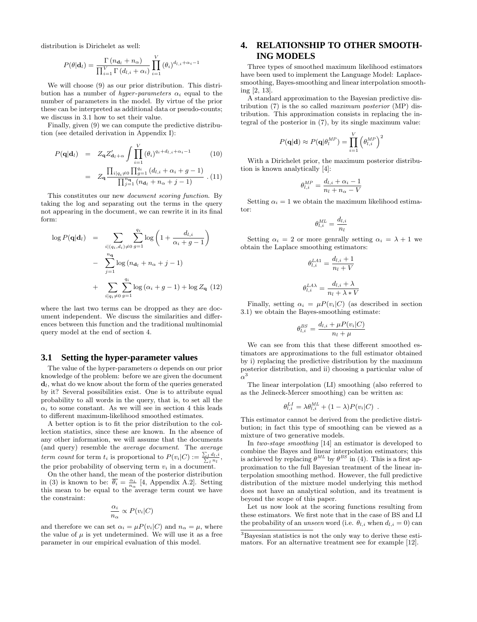distribution is Dirichelet as well:

$$
P(\theta|\mathbf{d}_l) = \frac{\Gamma(n_{\mathbf{d}_l} + n_{\alpha})}{\prod_{i=1}^{V} \Gamma(d_{l,i} + \alpha_i)} \prod_{i=1}^{V} (\theta_i)^{d_{l,i} + \alpha_i - 1}
$$

We will choose  $(9)$  as our prior distribution. This distribution has a number of *hyper-parameters*  $\alpha_i$  equal to the number of parameters in the model. By virtue of the prior these can be interpreted as additional data or pseudo-counts; we discuss in 3.1 how to set their value.

Finally, given (9) we can compute the predictive distribution (see detailed derivation in Appendix I):

$$
P(\mathbf{q}|\mathbf{d}_{l}) = Z_{\mathbf{q}} Z_{\mathbf{d}_{l}+\alpha}^{\prime} \int \prod_{i=1}^{V} (\theta_{i})^{q_{i}+d_{l,i}+\alpha_{i}-1} \qquad (10)
$$

$$
= Z_{\mathbf{q}} \frac{\prod_{i|q_{i}\neq 0} \prod_{g=1}^{q_{i}} (d_{l,i}+\alpha_{i}+g-1)}{\prod_{j=1}^{n_{\mathbf{q}}}(n_{\mathbf{d}_{l}}+n_{\alpha}+j-1)} \qquad (11)
$$

This constitutes our new document scoring function. By taking the log and separating out the terms in the query not appearing in the document, we can rewrite it in its final form:

$$
\log P(\mathbf{q}|\mathbf{d}_l) = \sum_{\substack{i|(q_i,d_i)\neq 0 \ g=1}} \sum_{g=1}^{q_i} \log \left(1 + \frac{d_{l,i}}{\alpha_i + g - 1}\right)
$$

$$
- \sum_{j=1}^{n_{\mathbf{q}}} \log (n_{\mathbf{d}_l} + n_{\alpha} + j - 1)
$$

$$
+ \sum_{i|q_i \neq 0} \sum_{g=1}^{q_i} \log (\alpha_i + g - 1) + \log Z_{\mathbf{q}} (12)
$$

where the last two terms can be dropped as they are document independent. We discuss the similarities and differences between this function and the traditional multinomial query model at the end of section 4.

#### **3.1 Setting the hyper-parameter values**

The value of the hyper-parameters  $\alpha$  depends on our prior knowledge of the problem: before we are given the document  $\mathbf{d}_l$ , what do we know about the form of the queries generated by it? Several possibilities exist. One is to attribute equal probability to all words in the query, that is, to set all the  $\alpha_i$  to some constant. As we will see in section 4 this leads to different maximum-likelihood smoothed estimates.

A better option is to fit the prior distribution to the collection statistics, since these are known. In the absence of any other information, we will assume that the documents (and query) resemble the average document. The average term count for term  $t_i$  is proportional to  $P(v_i|C) := \frac{\sum_l d_l, i}{\sum_l n_l}$ , the prior probability of observing term  $v_i$  in a document.

On the other hand, the mean of the posterior distribution in (3) is known to be:  $\overline{\theta_i} = \frac{\alpha_i}{n_\alpha}$  [4, Appendix A.2]. Setting this mean to be equal to the average term count we have the constraint:

$$
\frac{\alpha_i}{n_\alpha} \propto P(v_i|C)
$$

and therefore we can set  $\alpha_i = \mu P(v_i|C)$  and  $n_\alpha = \mu$ , where the value of  $\mu$  is yet undetermined. We will use it as a free parameter in our empirical evaluation of this model.

# **4. RELATIONSHIP TO OTHER SMOOTH-ING MODELS**

Three types of smoothed maximum likelihood estimators have been used to implement the Language Model: Laplacesmoothing, Bayes-smoothing and linear interpolation smoothing [2, 13].

A standard approximation to the Bayesian predictive distribution  $(7)$  is the so called *maximum posterior* (MP) distribution. This approximation consists in replacing the integral of the posterior in (7), by its single maximum value:

$$
P(\mathbf{q}|\mathbf{d}) \approx P(\mathbf{q}|\theta_l^{MP}) = \prod_{i=1}^{V} (\theta_{l,i}^{MP})^2
$$

With a Dirichelet prior, the maximum posterior distribution is known analytically [4]:

$$
\theta_{l,i}^{MP} = \frac{d_{l,i} + \alpha_i - 1}{n_l + n_\alpha - V}
$$

Setting  $\alpha_i = 1$  we obtain the maximum likelihood estimator:

$$
\theta_{l,i}^{\text{ML}} = \frac{d_{l,i}}{n_l}
$$

Setting  $\alpha_i = 2$  or more genrally setting  $\alpha_i = \lambda + 1$  we obtain the Laplace smoothing estimators:

$$
\theta_{l,i}^{LA1} = \frac{d_{l,i} + 1}{n_l + V}
$$

$$
\theta_{l,i}^{LA\lambda} = \frac{d_{l,i} + \lambda}{n_l + \lambda * V}
$$

Finally, setting  $\alpha_i = \mu P(v_i|C)$  (as described in section 3.1) we obtain the Bayes-smoothing estimate:

$$
\theta_{l,i}^{BS} = \frac{d_{l,i} + \mu P(v_i|C)}{n_l + \mu}
$$

We can see from this that these different smoothed estimators are approximations to the full estimator obtained by i) replacing the predictive distribution by the maximum posterior distribution, and ii) choosing a particular value of  $\alpha^3$ 

The linear interpolation (LI) smoothing (also referred to as the Jelineck-Mercer smoothing) can be written as:

$$
\theta_{l,i}^{LI} = \lambda \theta_{l,i}^{ML} + (1 - \lambda) P(v_i|C) .
$$

This estimator cannot be derived from the predictive distribution; in fact this type of smoothing can be viewed as a mixture of two generative models.

In two-stage smoothing [14] an estimator is developed to combine the Bayes and linear interpolation estimators; this is achieved by replacing  $\theta^{ML}$  by  $\theta^{BS}$  in (4). This is a first approximation to the full Bayesian treatment of the linear interpolation smoothing method. However, the full predictive distribution of the mixture model underlying this method does not have an analytical solution, and its treatment is beyond the scope of this paper.

Let us now look at the scoring functions resulting from these estimators. We first note that in the case of BS and LI the probability of an unseen word (i.e.  $\theta_{l,i}$  when  $d_{l,i} = 0$ ) can

<sup>3</sup>Bayesian statistics is not the only way to derive these estimators. For an alternative treatment see for example [12].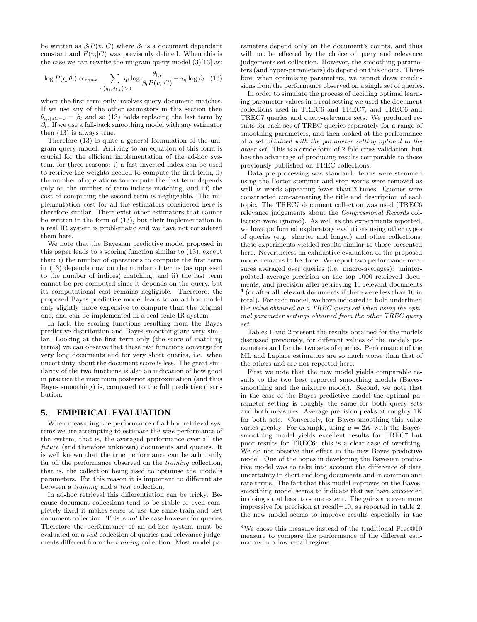be written as  $\beta_l P(v_i|C)$  where  $\beta_l$  is a document dependant constant and  $P(v_i|C)$  was previsouly defined. When this is the case we can rewrite the unigram query model  $(3)[13]$  as:

$$
\log P(\mathbf{q}|\theta_l) \propto_{rank} \sum_{i|(q_i,d_{l,i})>0} q_i \log \frac{\theta_{l,i}}{\beta_l P(v_i|C)} + n_{\mathbf{q}} \log \beta_l \quad (13)
$$

where the first term only involves query-document matches. If we use any of the other estimators in this section then  $\theta_{l,i|dl_i=0} = \beta_l$  and so (13) holds replacing the last term by  $\beta_l$ . If we use a fall-back smoothing model with any estimator then (13) is always true.

Therefore (13) is quite a general formulation of the unigram query model. Arriving to an equation of this form is crucial for the efficient implementation of the ad-hoc system, for three reasons: i) a fast inverted index can be used to retrieve the weights needed to compute the first term, ii) the number of operations to compute the first term depends only on the number of term-indices matching, and iii) the cost of computing the second term is negligeable. The implementation cost for all the estimators considered here is therefore similar. There exist other estimators that cannot be written in the form of (13), but their implementation in a real IR system is problematic and we have not considered them here.

We note that the Bayesian predictive model proposed in this paper leads to a scoring function similar to (13), except that: i) the number of operations to compute the first term in (13) depends now on the number of terms (as oppossed to the number of indices) matching, and ii) the last term cannot be pre-computed since it depends on the query, but its computational cost remains negligible. Therefore, the proposed Bayes predictive model leads to an ad-hoc model only slightly more expensive to compute than the original one, and can be implemented in a real scale IR system.

In fact, the scoring functions resulting from the Bayes predictive distribution and Bayes-smoothing are very similar. Looking at the first term only (the score of matching terms) we can observe that these two functions converge for very long documents and for very short queries, i.e. when uncertainty about the document score is less. The great similarity of the two functions is also an indication of how good in practice the maximum posterior approximation (and thus Bayes smoothing) is, compared to the full predictive distribution.

#### **5. EMPIRICAL EVALUATION**

When measuring the performance of ad-hoc retrieval systems we are attempting to estimate the true performance of the system, that is, the averaged performance over all the future (and therefore unknown) documents and queries. It is well known that the true performance can be arbitrarily far off the performance observed on the *training* collection, that is, the collection being used to optimise the model's parameters. For this reason it is important to differentiate between a training and a test collection.

In ad-hoc retrieval this differentiation can be tricky. Because document collections tend to be stable or even completely fixed it makes sense to use the same train and test document collection. This is not the case however for queries. Therefore the performance of an ad-hoc system must be evaluated on a test collection of queries and relevance judgements different from the *training* collection. Most model parameters depend only on the document's counts, and thus will not be effected by the choice of query and relevance judgements set collection. However, the smoothing parameters (and hyper-parameters) do depend on this choice. Therefore, when optimising parameters, we cannot draw conclusions from the performance observed on a single set of queries.

In order to simulate the process of deciding optimal learning parameter values in a real setting we used the document collections used in TREC6 and TREC7, and TREC6 and TREC7 queries and query-relevance sets. We produced results for each set of TREC queries separately for a range of smoothing parameters, and then looked at the performance of a set obtained with the parameter setting optimal to the other set. This is a crude form of 2-fold cross validation, but has the advantage of producing results comparable to those previously published on TREC collections.

Data pre-processing was standard: terms were stemmed using the Porter stemmer and stop words were removed as well as words appearing fewer than 3 times. Queries were constructed concatenating the title and description of each topic. The TREC7 document collection was used (TREC6 relevance judgements about the Congressional Records collection were ignored). As well as the experiments reported, we have performed exploratory evalutions using other types of queries (e.g. shorter and longer) and other collections; these experiments yielded results similar to those presented here. Nevertheless an exhaustive evaluation of the proposed model remains to be done. We report two performance measures averaged over queries (i.e. macro-averages): uninterpolated average precision on the top 1000 retrieved documents, and precision after retrieving 10 relevant documents 4 (or after all relevant documents if there were less than 10 in total). For each model, we have indicated in bold underlined the value obtained on a TREC query set when using the optimal parameter settings obtained from the other TREC query set.

Tables 1 and 2 present the results obtained for the models discussed previously, for different values of the models parameters and for the two sets of queries. Performance of the ML and Laplace estimators are so much worse than that of the others and are not reported here.

First we note that the new model yields comparable results to the two best reported smoothing models (Bayessmoothing and the mixture model). Second, we note that in the case of the Bayes predictive model the optimal parameter setting is roughly the same for both query sets and both measures. Average precision peaks at roughly 1K for both sets. Conversely, for Bayes-smoothing this value varies greatly. For example, using  $\mu = 2K$  with the Bayessmoothing model yields excellent results for TREC7 but poor results for TREC6: this is a clear case of overfiting. We do not observe this effect in the new Bayes predictive model. One of the hopes in developing the Bayesian predictive model was to take into account the difference of data uncertainty in short and long documents and in common and rare terms. The fact that this model improves on the Bayessmoothing model seems to indicate that we have succeeded in doing so, at least to some extent. The gains are even more impressive for precision at recall=10, as reported in table 2; the new model seems to improve results especially in the

<sup>4</sup>We chose this measure instead of the traditional Prec@10 measure to compare the performance of the different estimators in a low-recall regime.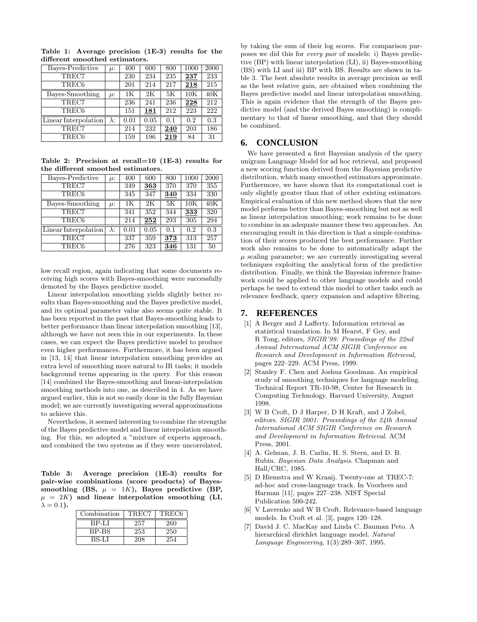Table 1: Average precision (1E-3) results for the different smoothed estimators.

| Bayes-Predictive     | $\mu$ :     | 400  | 600  | 800 | 1000 | 2000 |
|----------------------|-------------|------|------|-----|------|------|
| TREC7                |             | 230  | 234  | 235 | 237  | 233  |
| TREC <sub>6</sub>    |             | 201  | 214  | 217 | 218  | 215  |
| Bayes-Smoothing      | $\mu$ :     | 1K   | 2K   | 5K  | 10K  | 40K  |
| TREC7                |             | 236  | 241  | 236 | 228  | 212  |
| TREC <sub>6</sub>    |             | 151  | 181  | 212 | 223  | 222  |
| Linear Interpolation | $\lambda$ : | 0.01 | 0.05 | 0.1 | 0.2  | 0.3  |
| TREC7                |             | 214  | 232  | 240 | 203  | 186  |
| TREC <sub>6</sub>    |             | 159  | 196  | 219 | 84   | 31   |

Table 2: Precision at recall=10 (1E-3) results for the different smoothed estimators.

| $\mu$ :     | 400  | 600  | 800 | 1000 | 2000 |
|-------------|------|------|-----|------|------|
|             | 349  | 363  | 370 | 370  | 355  |
|             | 345  | 347  | 340 | 334  | 330  |
| $\mu$ :     | 1K   | 2K   | 5K  | 10K  | 40K  |
|             | 341  | 352  | 344 | 333  | 320  |
|             | 214  | 252  | 293 | 305  | 294  |
| $\lambda$ : | 0.01 | 0.05 | 0.1 | 0.2  | 0.3  |
|             | 337  | 359  | 373 | 313  | 257  |
|             | 276  | 323  | 346 | 131  | 50   |
|             |      |      |     |      |      |

low recall region, again indicating that some documents receiving high scores with Bayes-smoothing were successfully demoted by the Bayes predictive model.

Linear interpolation smoothing yields slightly better results than Bayes-smoothing and the Bayes predictive model, and its optimal parameter value also seems quite stable. It has been reported in the past that Bayes-smoothing leads to better performance than linear interpolation smoothing [13], although we have not seen this in our experiments. In these cases, we can expect the Bayes predictive model to produce even higher performances. Furthermore, it has been argued in [13, 14] that linear interpolation smoothing provides an extra level of smoothing more natural to IR tasks; it models background terms appearing in the query. For this reason [14] combined the Bayes-smoothing and linear-interpolation smoothing methods into one, as described in 4. As we have argued earlier, this is not so easily done in the fully Bayesian model; we are currently investigating several approximations to achieve this.

Nevertheless, it seemed interesting to combine the strengths of the Bayes predictive model and linear interpolation smoothing. For this, we adopted a "mixture of experts approach, and combined the two systems as if they were uncorrelated,

Table 3: Average precision (1E-3) results for pair-wise combinations (score products) of Bayessmoothing (BS,  $\mu = 1K$ ), Bayes predictive (BP,  $\mu = 2K$ ) and linear interpolation smoothing (LI,  $\lambda = 0.1$ ).

| Combination | TREC7 | TREC <sub>6</sub> |
|-------------|-------|-------------------|
| BP-LI       | 257   | 260               |
| BP-BS       | 253   | 250               |
| BS-LI       | 208   | 254               |

by taking the sum of their log scores. For comparison purposes we did this for every pair of models: i) Bayes predictive (BP) with linear interpolation (LI), ii) Bayes-smoothing (BS) with LI and iii) BP with BS. Results are shown in table 3. The best absolute results in average precision as well as the best relative gain, are obtained when combining the Bayes predictive model and linear interpolation smoothing. This is again evidence that the strength of the Bayes predictive model (and the derived Bayes smoothing) is complimentary to that of linear smoothing, and that they should be combined.

#### **6. CONCLUSION**

We have presented a first Bayesian analysis of the query unigram Language Model for ad hoc retrieval, and proposed a new scoring function derived from the Bayesian predictive distribution, which many smoothed estimators approximate. Furthermore, we have shown that its computational cost is only slightly greater than that of other existing estimators. Empirical evaluation of this new method shows that the new model performs better than Bayes-smoothing but not as well as linear interpolation smoothing; work remains to be done to combine in an adequate manner these two approaches. An encouraging result in this direction is that a simple combination of their scores produced the best performance. Further work also remains to be done to automatically adapt the  $\mu$  scaling parameter; we are currently investigating several techniques exploiting the analytical form of the predictive distribution. Finally, we think the Bayesian inference framework could be applied to other language models and could perhaps be used to extend this model to other tasks such as relevance feedback, query expansion and adaptive filtering.

### **7. REFERENCES**

- [1] A Berger and J Lafferty. Information retrieval as statistical translation. In M Hearst, F Gey, and R Tong, editors, SIGIR'99: Proceedings of the 22nd Annual International ACM SIGIR Conference on Research and Development in Information Retrieval, pages 222–229. ACM Press, 1999.
- [2] Stanley F. Chen and Joshua Goodman. An empirical study of smoothing techniques for language modeling. Technical Report TR-10-98, Center for Research in Computing Technology. Harvard University, August 1998.
- [3] W B Croft, D J Harper, D H Kraft, and J Zobel, editors. SIGIR 2001: Proceedings of the 24th Annual International ACM SIGIR Conference on Research and Development in Information Retrieval. ACM Press, 2001.
- [4] A. Gelman, J. B. Carlin, H. S. Stern, and D. B. Rubin. Bayesian Data Analysis. Chapman and Hall/CRC, 1985.
- [5] D Hiemstra and W Kraaij. Twenty-one at TREC-7: ad-hoc and cross-language track. In Voorhees and Harman [11], pages 227–238. NIST Special Publication 500-242.
- [6] V Lavrenko and W B Croft. Relevance-based language models. In Croft et al. [3], pages 120–128.
- [7] David J. C. MacKay and Linda C. Bauman Peto. A hierarchical dirichlet language model. Natural Language Engineering, 1(3):289–307, 1995.